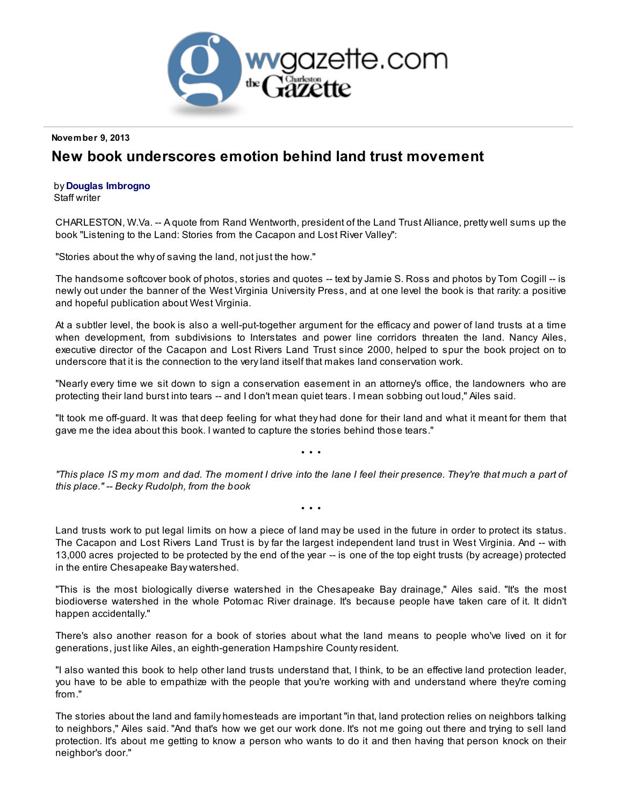

## November 9, 2013

## New book underscores emotion behind land trust movement

## by Douglas [Imbrogno](http://www.wvgazette.com/Life/contact/qbhtynf+pacncref+pbz+return=/Life/201311080230?display=print)

Staff writer

CHARLESTON, W.Va. -- A quote from Rand Wentworth, president of the Land Trust Alliance, pretty well sums up the book "Listening to the Land: Stories from the Cacapon and Lost River Valley":

"Stories about the why of saving the land, not just the how."

The handsome softcover book of photos, stories and quotes -- text by Jamie S. Ross and photos by Tom Cogill -- is newly out under the banner of the West Virginia University Press, and at one level the book is that rarity: a positive and hopeful publication about West Virginia.

At a subtler level, the book is also a well-put-together argument for the efficacy and power of land trusts at a time when development, from subdivisions to Interstates and power line corridors threaten the land. Nancy Ailes, executive director of the Cacapon and Lost Rivers Land Trust since 2000, helped to spur the book project on to underscore that it is the connection to the very land itself that makes land conservation work.

"Nearly every time we sit down to sign a conservation easement in an attorney's office, the landowners who are protecting their land burst into tears -- and I don't mean quiet tears. I mean sobbing out loud," Ailes said.

"It took me off-guard. It was that deep feeling for what they had done for their land and what it meant for them that gave me the idea about this book. I wanted to capture the stories behind those tears."

• • •

"This place IS my mom and dad. The moment I drive into the lane I feel their presence. They're that much a part of this place." -- Becky Rudolph, from the book

• • •

Land trusts work to put legal limits on how a piece of land may be used in the future in order to protect its status. The Cacapon and Lost Rivers Land Trust is by far the largest independent land trust in West Virginia. And -- with 13,000 acres projected to be protected by the end of the year -- is one of the top eight trusts (by acreage) protected in the entire Chesapeake Bay watershed.

"This is the most biologically diverse watershed in the Chesapeake Bay drainage," Ailes said. "It's the most biodioverse watershed in the whole Potomac River drainage. It's because people have taken care of it. It didn't happen accidentally."

There's also another reason for a book of stories about what the land means to people who've lived on it for generations, just like Ailes, an eighth-generation Hampshire County resident.

"I also wanted this book to help other land trusts understand that, I think, to be an effective land protection leader, you have to be able to empathize with the people that you're working with and understand where they're coming from."

The stories about the land and family homesteads are important "in that, land protection relies on neighbors talking to neighbors," Ailes said. "And that's how we get our work done. It's not me going out there and trying to sell land protection. It's about me getting to know a person who wants to do it and then having that person knock on their neighbor's door."